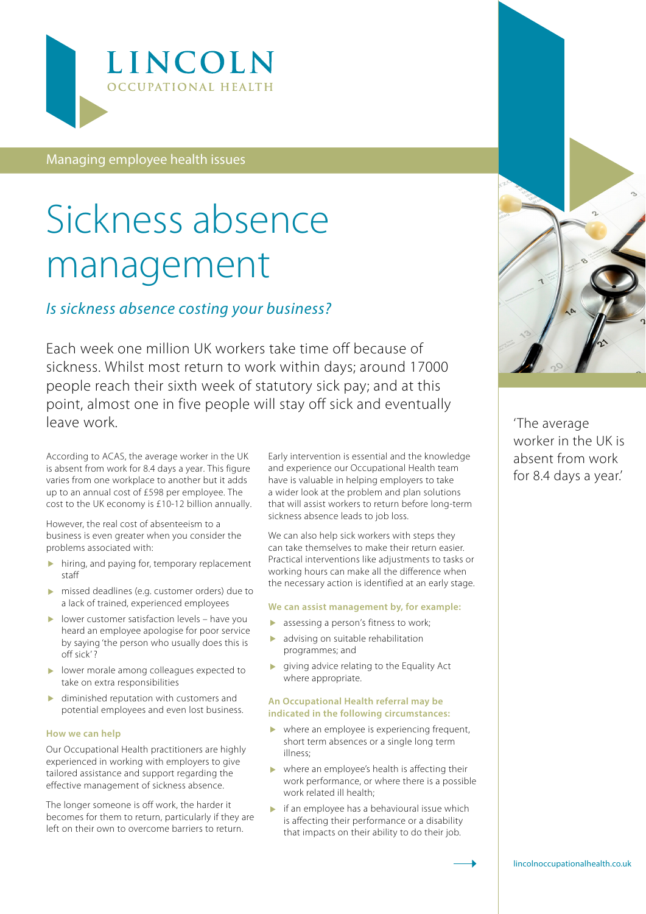

Managing employee health issues

# Sickness absence management

### *Is sickness absence costing your business?*

Each week one million UK workers take time off because of sickness. Whilst most return to work within days; around 17000 people reach their sixth week of statutory sick pay; and at this point, almost one in five people will stay off sick and eventually leave work.

According to ACAS, the average worker in the UK is absent from work for 8.4 days a year. This figure varies from one workplace to another but it adds up to an annual cost of £598 per employee. The cost to the UK economy is £10-12 billion annually.

However, the real cost of absenteeism to a business is even greater when you consider the problems associated with:

- $\blacktriangleright$  hiring, and paying for, temporary replacement staff
- missed deadlines (e.g. customer orders) due to a lack of trained, experienced employees
- $\blacktriangleright$  lower customer satisfaction levels have you heard an employee apologise for poor service by saying 'the person who usually does this is off sick' ?
- lower morale among colleagues expected to take on extra responsibilities
- diminished reputation with customers and potential employees and even lost business.

#### **How we can help**

Our Occupational Health practitioners are highly experienced in working with employers to give tailored assistance and support regarding the effective management of sickness absence.

The longer someone is off work, the harder it becomes for them to return, particularly if they are left on their own to overcome barriers to return.

Early intervention is essential and the knowledge and experience our Occupational Health team have is valuable in helping employers to take a wider look at the problem and plan solutions that will assist workers to return before long-term sickness absence leads to job loss.

We can also help sick workers with steps they can take themselves to make their return easier. Practical interventions like adjustments to tasks or working hours can make all the difference when the necessary action is identified at an early stage.

#### **We can assist management by, for example:**

- assessing a person's fitness to work;
- advising on suitable rehabilitation programmes; and
- giving advice relating to the Equality Act where appropriate.

#### **An Occupational Health referral may be indicated in the following circumstances:**

- where an employee is experiencing frequent, short term absences or a single long term illness;
- where an employee's health is affecting their work performance, or where there is a possible work related ill health;
- $\blacktriangleright$  if an employee has a behavioural issue which is affecting their performance or a disability that impacts on their ability to do their job.



'The average worker in the UK is absent from work for 8.4 days a year.'